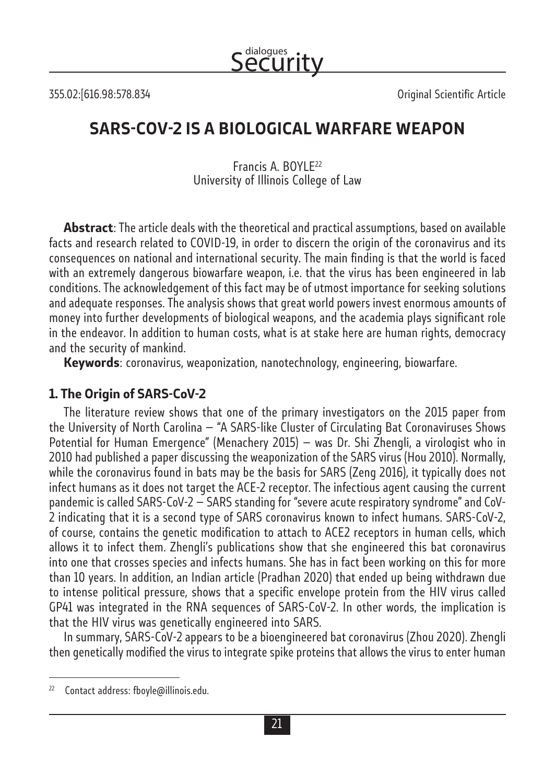Security dialogues

355.02:[616.98:578.834 Original Scientific Article

### **SARS-COV-2 IS A BIOLOGICAL WARFARE WEAPON**

Francis A. BOYLE22 University of Illinois College of Law

**Abstract**: The article deals with the theoretical and practical assumptions, based on available facts and research related to COVID-19, in order to discern the origin of the coronavirus and its consequences on national and international security. The main finding is that the world is faced with an extremely dangerous biowarfare weapon, i.e. that the virus has been engineered in lab conditions. The acknowledgement of this fact may be of utmost importance for seeking solutions and adequate responses. The analysis shows that great world powers invest enormous amounts of money into further developments of biological weapons, and the academia plays significant role in the endeavor. In addition to human costs, what is at stake here are human rights, democracy and the security of mankind.

**Keywords**: coronavirus, weaponization, nanotechnology, engineering, biowarfare.

#### **1. The Origin of SARS-CoV-2**

The literature review shows that one of the primary investigators on the 2015 paper from the University of North Carolina — "A SARS-like Cluster of Circulating Bat Coronaviruses Shows Potential for Human Emergence" (Menachery 2015) — was Dr. Shi Zhengli, a virologist who in 2010 had published a paper discussing the weaponization of the SARS virus (Hou 2010). Normally, while the coronavirus found in bats may be the basis for SARS (Zeng 2016), it typically does not infect humans as it does not target the ACE-2 receptor. The infectious agent causing the current pandemic is called SARS-CoV-2 — SARS standing for "severe acute respiratory syndrome" and CoV-2 indicating that it is a second type of SARS coronavirus known to infect humans. SARS-CoV-2, of course, contains the genetic modification to attach to ACE2 receptors in human cells, which allows it to infect them. Zhengli's publications show that she engineered this bat coronavirus into one that crosses species and infects humans. She has in fact been working on this for more than 10 years. In addition, an Indian article (Pradhan 2020) that ended up being withdrawn due to intense political pressure, shows that a specific envelope protein from the HIV virus called GP41 was integrated in the RNA sequences of SARS-CoV-2. In other words, the implication is that the HIV virus was genetically engineered into SARS.

In summary, SARS-CoV-2 appears to be a bioengineered bat coronavirus (Zhou 2020). Zhengli then genetically modified the virus to integrate spike proteins that allows the virus to enter human

<sup>22</sup> Contact address: fboyle@illinois.edu.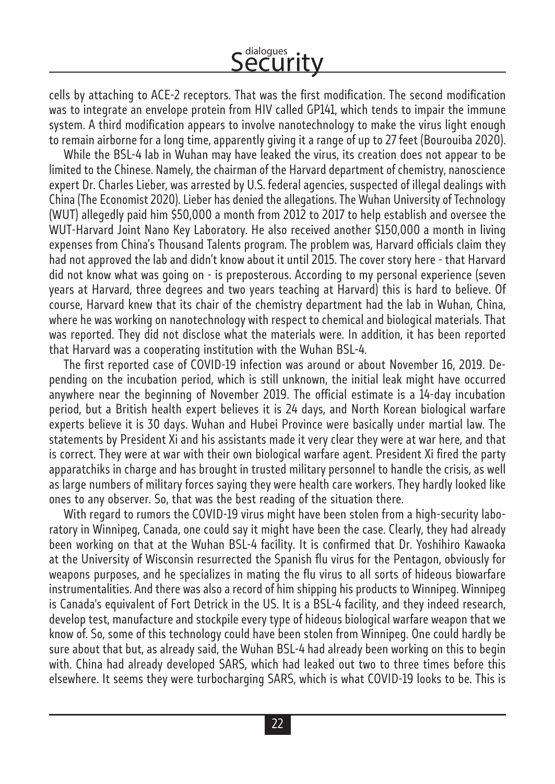cells by attaching to ACE-2 receptors. That was the first modification. The second modification was to integrate an envelope protein from HIV called GP141, which tends to impair the immune system. A third modification appears to involve nanotechnology to make the virus light enough to remain airborne for a long time, apparently giving it a range of up to 27 feet (Bourouiba 2020).

While the BSL-4 lab in Wuhan may have leaked the virus, its creation does not appear to be limited to the Chinese. Namely, the chairman of the Harvard department of chemistry, nanoscience expert Dr. Charles Lieber, was arrested by U.S. federal agencies, suspected of illegal dealings with China (The Economist 2020). Lieber has denied the allegations. The Wuhan University of Technology (WUT) allegedly paid him \$50,000 a month from 2012 to 2017 to help establish and oversee the WUT-Harvard Joint Nano Key Laboratory. He also received another \$150,000 a month in living expenses from China's Thousand Talents program. The problem was, Harvard officials claim they had not approved the lab and didn't know about it until 2015. The cover story here - that Harvard did not know what was going on - is preposterous. According to my personal experience (seven years at Harvard, three degrees and two years teaching at Harvard) this is hard to believe. Of course, Harvard knew that its chair of the chemistry department had the lab in Wuhan, China, where he was working on nanotechnology with respect to chemical and biological materials. That was reported. They did not disclose what the materials were. In addition, it has been reported that Harvard was a cooperating institution with the Wuhan BSL-4.

The first reported case of COVID-19 infection was around or about November 16, 2019. Depending on the incubation period, which is still unknown, the initial leak might have occurred anywhere near the beginning of November 2019. The official estimate is a 14-day incubation period, but a British health expert believes it is 24 days, and North Korean biological warfare experts believe it is 30 days. Wuhan and Hubei Province were basically under martial law. The statements by President Xi and his assistants made it very clear they were at war here, and that is correct. They were at war with their own biological warfare agent. President Xi fired the party apparatchiks in charge and has brought in trusted military personnel to handle the crisis, as well as large numbers of military forces saying they were health care workers. They hardly looked like ones to any observer. So, that was the best reading of the situation there.

With regard to rumors the COVID-19 virus might have been stolen from a high-security laboratory in Winnipeg, Canada, one could say it might have been the case. Clearly, they had already been working on that at the Wuhan BSL-4 facility. It is confirmed that Dr. Yoshihiro Kawaoka at the University of Wisconsin resurrected the Spanish flu virus for the Pentagon, obviously for weapons purposes, and he specializes in mating the flu virus to all sorts of hideous biowarfare instrumentalities. And there was also a record of him shipping his products to Winnipeg. Winnipeg is Canada's equivalent of Fort Detrick in the US. It is a BSL-4 facility, and they indeed research, develop test, manufacture and stockpile every type of hideous biological warfare weapon that we know of. So, some of this technology could have been stolen from Winnipeg. One could hardly be sure about that but, as already said, the Wuhan BSL-4 had already been working on this to begin with. China had already developed SARS, which had leaked out two to three times before this elsewhere. It seems they were turbocharging SARS, which is what COVID-19 looks to be. This is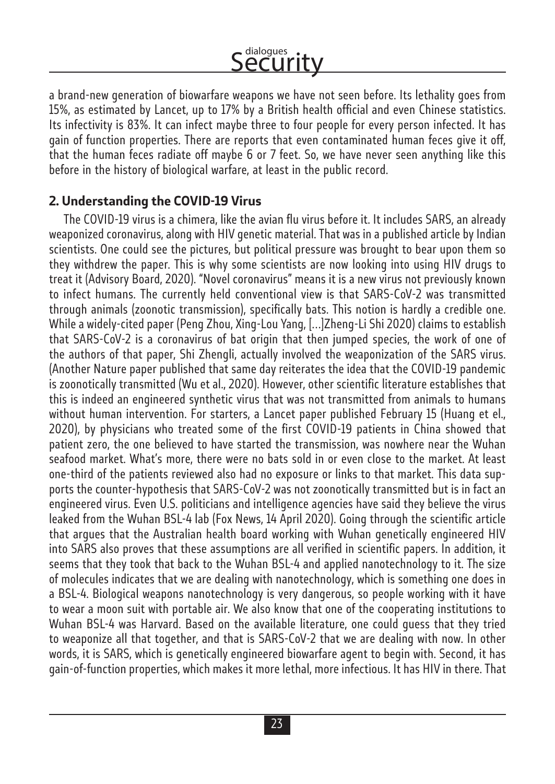a brand-new generation of biowarfare weapons we have not seen before. Its lethality goes from 15%, as estimated by Lancet, up to 17% by a British health official and even Chinese statistics. Its infectivity is 83%. It can infect maybe three to four people for every person infected. It has gain of function properties. There are reports that even contaminated human feces give it off, that the human feces radiate off maybe 6 or 7 feet. So, we have never seen anything like this before in the history of biological warfare, at least in the public record.

### **2. Understanding the COVID-19 Virus**

The COVID-19 virus is a chimera, like the avian flu virus before it. It includes SARS, an already weaponized coronavirus, along with HIV genetic material. That was in a published article by Indian scientists. One could see the pictures, but political pressure was brought to bear upon them so they withdrew the paper. This is why some scientists are now looking into using HIV drugs to treat it (Advisory Board, 2020). "Novel coronavirus" means it is a new virus not previously known to infect humans. The currently held conventional view is that SARS-CoV-2 was transmitted through animals (zoonotic transmission), specifically bats. This notion is hardly a credible one. While a widely-cited paper (Peng Zhou, Xing-Lou Yang, […]Zheng-Li Shi 2020) claims to establish that SARS-CoV-2 is a coronavirus of bat origin that then jumped species, the work of one of the authors of that paper, Shi Zhengli, actually involved the weaponization of the SARS virus. (Another Nature paper published that same day reiterates the idea that the COVID-19 pandemic is zoonotically transmitted (Wu et al., 2020). However, other scientific literature establishes that this is indeed an engineered synthetic virus that was not transmitted from animals to humans without human intervention. For starters, a Lancet paper published February 15 (Huang et el., 2020), by physicians who treated some of the first COVID-19 patients in China showed that patient zero, the one believed to have started the transmission, was nowhere near the Wuhan seafood market. What's more, there were no bats sold in or even close to the market. At least one-third of the patients reviewed also had no exposure or links to that market. This data supports the counter-hypothesis that SARS-CoV-2 was not zoonotically transmitted but is in fact an engineered virus. Even U.S. politicians and intelligence agencies have said they believe the virus leaked from the Wuhan BSL-4 lab (Fox News, 14 April 2020). Going through the scientific article that argues that the Australian health board working with Wuhan genetically engineered HIV into SARS also proves that these assumptions are all verified in scientific papers. In addition, it seems that they took that back to the Wuhan BSL-4 and applied nanotechnology to it. The size of molecules indicates that we are dealing with nanotechnology, which is something one does in a BSL-4. Biological weapons nanotechnology is very dangerous, so people working with it have to wear a moon suit with portable air. We also know that one of the cooperating institutions to Wuhan BSL-4 was Harvard. Based on the available literature, one could guess that they tried to weaponize all that together, and that is SARS-CoV-2 that we are dealing with now. In other words, it is SARS, which is genetically engineered biowarfare agent to begin with. Second, it has gain-of-function properties, which makes it more lethal, more infectious. It has HIV in there. That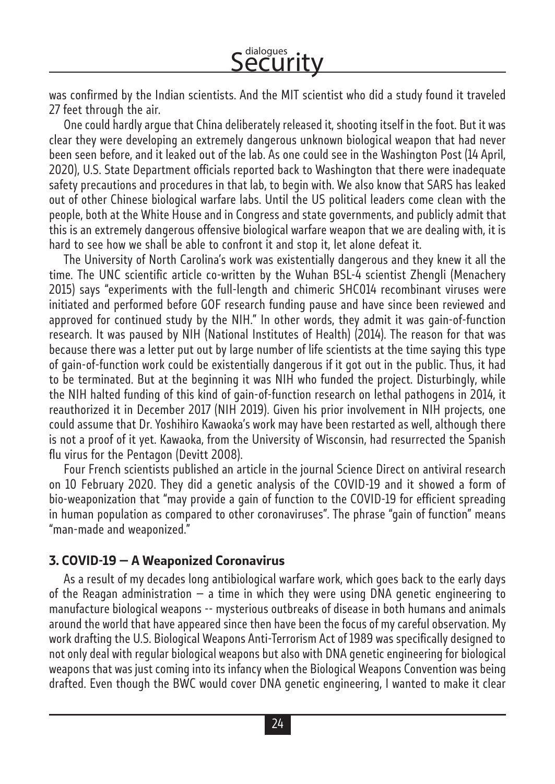was confirmed by the Indian scientists. And the MIT scientist who did a study found it traveled 27 feet through the air.

One could hardly argue that China deliberately released it, shooting itself in the foot. But it was clear they were developing an extremely dangerous unknown biological weapon that had never been seen before, and it leaked out of the lab. As one could see in the Washington Post (14 April, 2020), U.S. State Department officials reported back to Washington that there were inadequate safety precautions and procedures in that lab, to begin with. We also know that SARS has leaked out of other Chinese biological warfare labs. Until the US political leaders come clean with the people, both at the White House and in Congress and state governments, and publicly admit that this is an extremely dangerous offensive biological warfare weapon that we are dealing with, it is hard to see how we shall be able to confront it and stop it, let alone defeat it.

The University of North Carolina's work was existentially dangerous and they knew it all the time. The UNC scientific article co-written by the Wuhan BSL-4 scientist Zhengli (Menachery 2015) says "experiments with the full-length and chimeric SHC014 recombinant viruses were initiated and performed before GOF research funding pause and have since been reviewed and approved for continued study by the NIH." In other words, they admit it was gain-of-function research. It was paused by NIH (National Institutes of Health) (2014). The reason for that was because there was a letter put out by large number of life scientists at the time saying this type of gain-of-function work could be existentially dangerous if it got out in the public. Thus, it had to be terminated. But at the beginning it was NIH who funded the project. Disturbingly, while the NIH halted funding of this kind of gain-of-function research on lethal pathogens in 2014, it reauthorized it in December 2017 (NIH 2019). Given his prior involvement in NIH projects, one could assume that Dr. Yoshihiro Kawaoka's work may have been restarted as well, although there is not a proof of it yet. Kawaoka, from the University of Wisconsin, had resurrected the Spanish flu virus for the Pentagon (Devitt 2008).

Four French scientists published an article in the journal Science Direct on antiviral research on 10 February 2020. They did a genetic analysis of the COVID-19 and it showed a form of bio-weaponization that "may provide a gain of function to the COVID-19 for efficient spreading in human population as compared to other coronaviruses". The phrase "gain of function" means "man-made and weaponized."

#### **3. COVID-19 — A Weaponized Coronavirus**

As a result of my decades long antibiological warfare work, which goes back to the early days of the Reagan administration  $-$  a time in which they were using DNA genetic engineering to manufacture biological weapons -- mysterious outbreaks of disease in both humans and animals around the world that have appeared since then have been the focus of my careful observation. My work drafting the U.S. Biological Weapons Anti-Terrorism Act of 1989 was specifically designed to not only deal with regular biological weapons but also with DNA genetic engineering for biological weapons that was just coming into its infancy when the Biological Weapons Convention was being drafted. Even though the BWC would cover DNA genetic engineering, I wanted to make it clear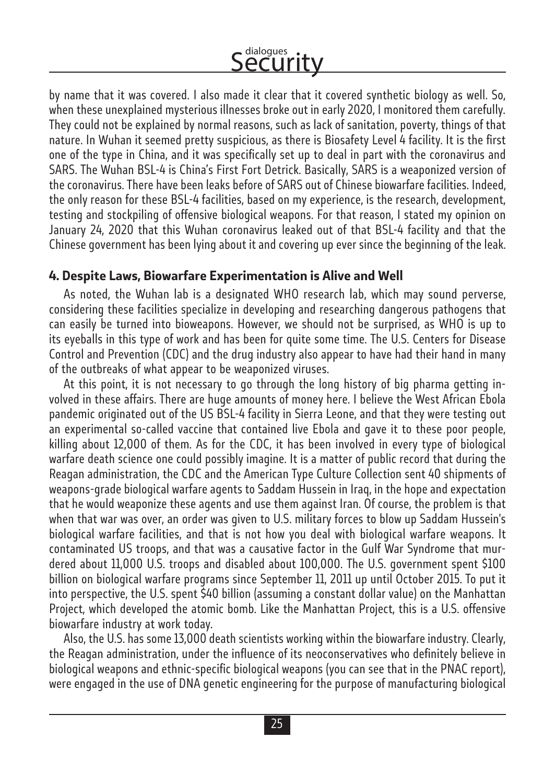by name that it was covered. I also made it clear that it covered synthetic biology as well. So, when these unexplained mysterious illnesses broke out in early 2020, I monitored them carefully. They could not be explained by normal reasons, such as lack of sanitation, poverty, things of that nature. In Wuhan it seemed pretty suspicious, as there is Biosafety Level 4 facility. It is the first one of the type in China, and it was specifically set up to deal in part with the coronavirus and SARS. The Wuhan BSL-4 is China's First Fort Detrick. Basically, SARS is a weaponized version of the coronavirus. There have been leaks before of SARS out of Chinese biowarfare facilities. Indeed, the only reason for these BSL-4 facilities, based on my experience, is the research, development, testing and stockpiling of offensive biological weapons. For that reason, I stated my opinion on January 24, 2020 that this Wuhan coronavirus leaked out of that BSL-4 facility and that the Chinese government has been lying about it and covering up ever since the beginning of the leak.

#### **4. Despite Laws, Biowarfare Experimentation is Alive and Well**

As noted, the Wuhan lab is a designated WHO research lab, which may sound perverse, considering these facilities specialize in developing and researching dangerous pathogens that can easily be turned into bioweapons. However, we should not be surprised, as WHO is up to its eyeballs in this type of work and has been for quite some time. The U.S. Centers for Disease Control and Prevention (CDC) and the drug industry also appear to have had their hand in many of the outbreaks of what appear to be weaponized viruses.

At this point, it is not necessary to go through the long history of big pharma getting involved in these affairs. There are huge amounts of money here. I believe the West African Ebola pandemic originated out of the US BSL-4 facility in Sierra Leone, and that they were testing out an experimental so-called vaccine that contained live Ebola and gave it to these poor people, killing about 12,000 of them. As for the CDC, it has been involved in every type of biological warfare death science one could possibly imagine. It is a matter of public record that during the Reagan administration, the CDC and the American Type Culture Collection sent 40 shipments of weapons-grade biological warfare agents to Saddam Hussein in Iraq, in the hope and expectation that he would weaponize these agents and use them against Iran. Of course, the problem is that when that war was over, an order was given to U.S. military forces to blow up Saddam Hussein's biological warfare facilities, and that is not how you deal with biological warfare weapons. It contaminated US troops, and that was a causative factor in the Gulf War Syndrome that murdered about 11,000 U.S. troops and disabled about 100,000. The U.S. government spent \$100 billion on biological warfare programs since September 11, 2011 up until October 2015. To put it into perspective, the U.S. spent \$40 billion (assuming a constant dollar value) on the Manhattan Project, which developed the atomic bomb. Like the Manhattan Project, this is a U.S. offensive biowarfare industry at work today.

Also, the U.S. has some 13,000 death scientists working within the biowarfare industry. Clearly, the Reagan administration, under the influence of its neoconservatives who definitely believe in biological weapons and ethnic-specific biological weapons (you can see that in the PNAC report), were engaged in the use of DNA genetic engineering for the purpose of manufacturing biological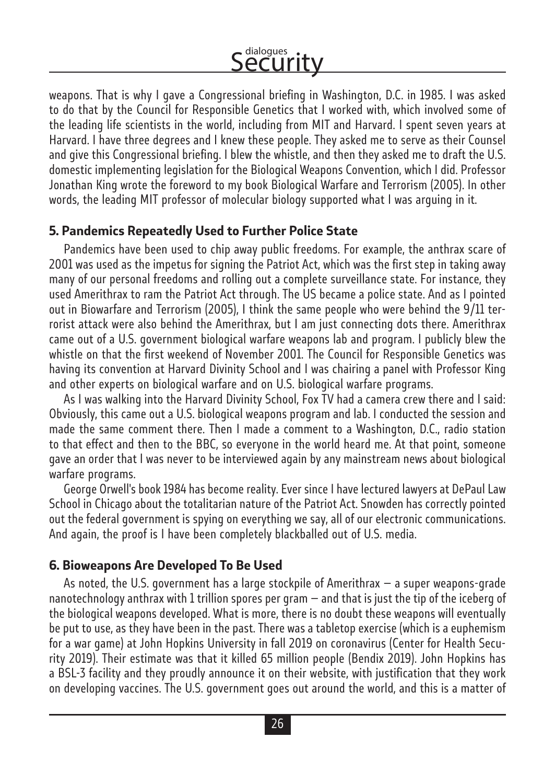weapons. That is why I gave a Congressional briefing in Washington, D.C. in 1985. I was asked to do that by the Council for Responsible Genetics that I worked with, which involved some of the leading life scientists in the world, including from MIT and Harvard. I spent seven years at Harvard. I have three degrees and I knew these people. They asked me to serve as their Counsel and give this Congressional briefing. I blew the whistle, and then they asked me to draft the U.S. domestic implementing legislation for the Biological Weapons Convention, which I did. Professor Jonathan King wrote the foreword to my book Biological Warfare and Terrorism (2005). In other words, the leading MIT professor of molecular biology supported what I was arguing in it.

#### **5. Pandemics Repeatedly Used to Further Police State**

Pandemics have been used to chip away public freedoms. For example, the anthrax scare of 2001 was used as the impetus for signing the Patriot Act, which was the first step in taking away many of our personal freedoms and rolling out a complete surveillance state. For instance, they used Amerithrax to ram the Patriot Act through. The US became a police state. And as I pointed out in Biowarfare and Terrorism (2005), I think the same people who were behind the 9/11 terrorist attack were also behind the Amerithrax, but I am just connecting dots there. Amerithrax came out of a U.S. government biological warfare weapons lab and program. I publicly blew the whistle on that the first weekend of November 2001. The Council for Responsible Genetics was having its convention at Harvard Divinity School and I was chairing a panel with Professor King and other experts on biological warfare and on U.S. biological warfare programs.

As I was walking into the Harvard Divinity School, Fox TV had a camera crew there and I said: Obviously, this came out a U.S. biological weapons program and lab. I conducted the session and made the same comment there. Then I made a comment to a Washington, D.C., radio station to that effect and then to the BBC, so everyone in the world heard me. At that point, someone gave an order that I was never to be interviewed again by any mainstream news about biological warfare programs.

George Orwell's book 1984 has become reality. Ever since I have lectured lawyers at DePaul Law School in Chicago about the totalitarian nature of the Patriot Act. Snowden has correctly pointed out the federal government is spying on everything we say, all of our electronic communications. And again, the proof is I have been completely blackballed out of U.S. media.

#### **6. Bioweapons Are Developed To Be Used**

As noted, the U.S. government has a large stockpile of Amerithrax — a super weapons-grade nanotechnology anthrax with 1 trillion spores per gram — and that is just the tip of the iceberg of the biological weapons developed. What is more, there is no doubt these weapons will eventually be put to use, as they have been in the past. There was a tabletop exercise (which is a euphemism for a war game) at John Hopkins University in fall 2019 on coronavirus (Center for Health Security 2019). Their estimate was that it killed 65 million people (Bendix 2019). John Hopkins has a BSL-3 facility and they proudly announce it on their website, with justification that they work on developing vaccines. The U.S. government goes out around the world, and this is a matter of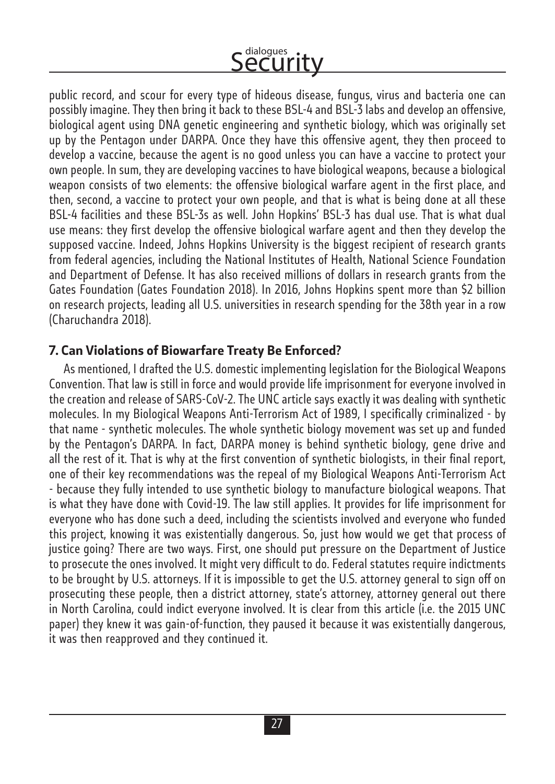public record, and scour for every type of hideous disease, fungus, virus and bacteria one can possibly imagine. They then bring it back to these BSL-4 and BSL-3 labs and develop an offensive, biological agent using DNA genetic engineering and synthetic biology, which was originally set up by the Pentagon under DARPA. Once they have this offensive agent, they then proceed to develop a vaccine, because the agent is no good unless you can have a vaccine to protect your own people. In sum, they are developing vaccines to have biological weapons, because a biological weapon consists of two elements: the offensive biological warfare agent in the first place, and then, second, a vaccine to protect your own people, and that is what is being done at all these BSL-4 facilities and these BSL-3s as well. John Hopkins' BSL-3 has dual use. That is what dual use means: they first develop the offensive biological warfare agent and then they develop the supposed vaccine. Indeed, Johns Hopkins University is the biggest recipient of research grants from federal agencies, including the National Institutes of Health, National Science Foundation and Department of Defense. It has also received millions of dollars in research grants from the Gates Foundation (Gates Foundation 2018). In 2016, Johns Hopkins spent more than \$2 billion on research projects, leading all U.S. universities in research spending for the 38th year in a row (Charuchandra 2018).

### **7. Can Violations of Biowarfare Treaty Be Enforced?**

As mentioned, I drafted the U.S. domestic implementing legislation for the Biological Weapons Convention. That law is still in force and would provide life imprisonment for everyone involved in the creation and release of SARS-CoV-2. The UNC article says exactly it was dealing with synthetic molecules. In my Biological Weapons Anti-Terrorism Act of 1989, I specifically criminalized - by that name - synthetic molecules. The whole synthetic biology movement was set up and funded by the Pentagon's DARPA. In fact, DARPA money is behind synthetic biology, gene drive and all the rest of it. That is why at the first convention of synthetic biologists, in their final report, one of their key recommendations was the repeal of my Biological Weapons Anti-Terrorism Act - because they fully intended to use synthetic biology to manufacture biological weapons. That is what they have done with Covid-19. The law still applies. It provides for life imprisonment for everyone who has done such a deed, including the scientists involved and everyone who funded this project, knowing it was existentially dangerous. So, just how would we get that process of justice going? There are two ways. First, one should put pressure on the Department of Justice to prosecute the ones involved. It might very difficult to do. Federal statutes require indictments to be brought by U.S. attorneys. If it is impossible to get the U.S. attorney general to sign off on prosecuting these people, then a district attorney, state's attorney, attorney general out there in North Carolina, could indict everyone involved. It is clear from this article (i.e. the 2015 UNC paper) they knew it was gain-of-function, they paused it because it was existentially dangerous, it was then reapproved and they continued it.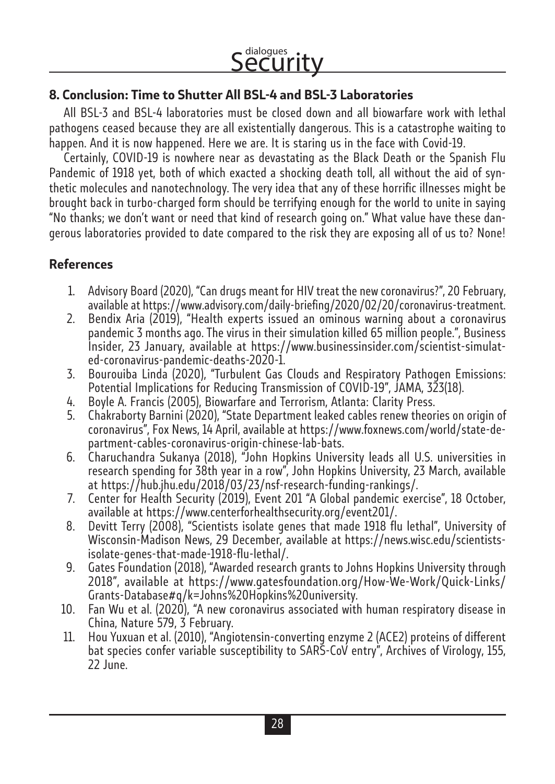### **8. Conclusion: Time to Shutter All BSL-4 and BSL-3 Laboratories**

All BSL-3 and BSL-4 laboratories must be closed down and all biowarfare work with lethal pathogens ceased because they are all existentially dangerous. This is a catastrophe waiting to happen. And it is now happened. Here we are. It is staring us in the face with Covid-19.

Certainly, COVID-19 is nowhere near as devastating as the Black Death or the Spanish Flu Pandemic of 1918 yet, both of which exacted a shocking death toll, all without the aid of synthetic molecules and nanotechnology. The very idea that any of these horrific illnesses might be brought back in turbo-charged form should be terrifying enough for the world to unite in saying "No thanks; we don't want or need that kind of research going on." What value have these dangerous laboratories provided to date compared to the risk they are exposing all of us to? None!

### **References**

- 1. Advisory Board (2020), "Can drugs meant for HIV treat the new coronavirus?", 20 February, available at https://www.advisory.com/daily-briefing/2020/02/20/coronavirus-treatment.
- 2. Bendix Aria (2019), "Health experts issued an ominous warning about a coronavirus pandemic 3 months ago. The virus in their simulation killed 65 million people.", Business Insider, 23 January, available at https://www.businessinsider.com/scientist-simulated-coronavirus-pandemic-deaths-2020-1.
- 3. Bourouiba Linda (2020), "Turbulent Gas Clouds and Respiratory Pathogen Emissions: Potential Implications for Reducing Transmission of COVID-19", JAMA, 323(18).
- 4. Boyle A. Francis (2005), Biowarfare and Terrorism, Atlanta: Clarity Press.
- 5. Chakraborty Barnini (2020), "State Department leaked cables renew theories on origin of coronavirus", Fox News, 14 April, available at https://www.foxnews.com/world/state-department-cables-coronavirus-origin-chinese-lab-bats.
- 6. Charuchandra Sukanya (2018), "John Hopkins University leads all U.S. universities in research spending for 38th year in a row", John Hopkins University, 23 March, available at https://hub.jhu.edu/2018/03/23/nsf-research-funding-rankings/.
- 7. Center for Health Security (2019), Event 201 "A Global pandemic exercise", 18 October, available at https://www.centerforhealthsecurity.org/event201/.
- 8. Devitt Terry (2008), "Scientists isolate genes that made 1918 flu lethal", University of Wisconsin-Madison News, 29 December, available at https://news.wisc.edu/scientistsisolate-genes-that-made-1918-flu-lethal/.
- 9. Gates Foundation (2018), "Awarded research grants to Johns Hopkins University through 2018", available at https://www.gatesfoundation.org/How-We-Work/Quick-Links/ Grants-Database#q/k=Johns%20Hopkins%20university.
- 10. Fan Wu et al. (2020), "A new coronavirus associated with human respiratory disease in China, Nature 579, 3 February.
- 11. Hou Yuxuan et al. (2010), "Angiotensin-converting enzyme 2 (ACE2) proteins of different bat species confer variable susceptibility to SARS-CoV entry", Archives of Virology, 155, 22 June.